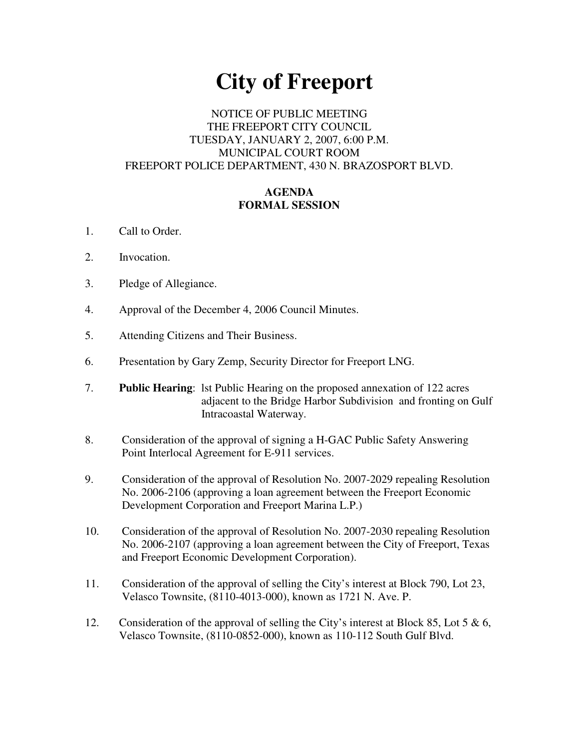# **City of Freeport**

## NOTICE OF PUBLIC MEETING THE FREEPORT CITY COUNCIL TUESDAY, JANUARY 2, 2007, 6:00 P.M. MUNICIPAL COURT ROOM FREEPORT POLICE DEPARTMENT, 430 N. BRAZOSPORT BLVD.

### **AGENDA FORMAL SESSION**

- 1. Call to Order.
- 2. Invocation.
- 3. Pledge of Allegiance.
- 4. Approval of the December 4, 2006 Council Minutes.
- 5. Attending Citizens and Their Business.
- 6. Presentation by Gary Zemp, Security Director for Freeport LNG.
- 7. **Public Hearing**: lst Public Hearing on the proposed annexation of 122 acres adjacent to the Bridge Harbor Subdivision and fronting on Gulf Intracoastal Waterway.
- 8. Consideration of the approval of signing a H-GAC Public Safety Answering Point Interlocal Agreement for E-911 services.
- 9. Consideration of the approval of Resolution No. 2007-2029 repealing Resolution No. 2006-2106 (approving a loan agreement between the Freeport Economic Development Corporation and Freeport Marina L.P.)
- 10. Consideration of the approval of Resolution No. 2007-2030 repealing Resolution No. 2006-2107 (approving a loan agreement between the City of Freeport, Texas and Freeport Economic Development Corporation).
- 11. Consideration of the approval of selling the City's interest at Block 790, Lot 23, Velasco Townsite, (8110-4013-000), known as 1721 N. Ave. P.
- 12. Consideration of the approval of selling the City's interest at Block 85, Lot 5 & 6, Velasco Townsite, (8110-0852-000), known as 110-112 South Gulf Blvd.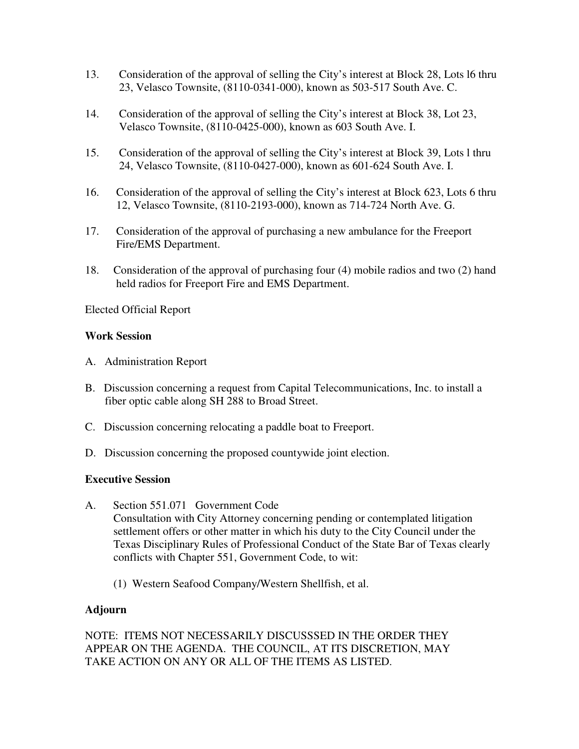- 13. Consideration of the approval of selling the City's interest at Block 28, Lots l6 thru 23, Velasco Townsite, (8110-0341-000), known as 503-517 South Ave. C.
- 14. Consideration of the approval of selling the City's interest at Block 38, Lot 23, Velasco Townsite, (8110-0425-000), known as 603 South Ave. I.
- 15. Consideration of the approval of selling the City's interest at Block 39, Lots l thru 24, Velasco Townsite, (8110-0427-000), known as 601-624 South Ave. I.
- 16. Consideration of the approval of selling the City's interest at Block 623, Lots 6 thru 12, Velasco Townsite, (8110-2193-000), known as 714-724 North Ave. G.
- 17. Consideration of the approval of purchasing a new ambulance for the Freeport Fire/EMS Department.
- 18. Consideration of the approval of purchasing four (4) mobile radios and two (2) hand held radios for Freeport Fire and EMS Department.

Elected Official Report

#### **Work Session**

- A. Administration Report
- B. Discussion concerning a request from Capital Telecommunications, Inc. to install a fiber optic cable along SH 288 to Broad Street.
- C. Discussion concerning relocating a paddle boat to Freeport.
- D. Discussion concerning the proposed countywide joint election.

# **Executive Session**

- A. Section 551.071 Government Code Consultation with City Attorney concerning pending or contemplated litigation settlement offers or other matter in which his duty to the City Council under the Texas Disciplinary Rules of Professional Conduct of the State Bar of Texas clearly conflicts with Chapter 551, Government Code, to wit:
	- (1) Western Seafood Company/Western Shellfish, et al.

# **Adjourn**

NOTE: ITEMS NOT NECESSARILY DISCUSSSED IN THE ORDER THEY APPEAR ON THE AGENDA. THE COUNCIL, AT ITS DISCRETION, MAY TAKE ACTION ON ANY OR ALL OF THE ITEMS AS LISTED.